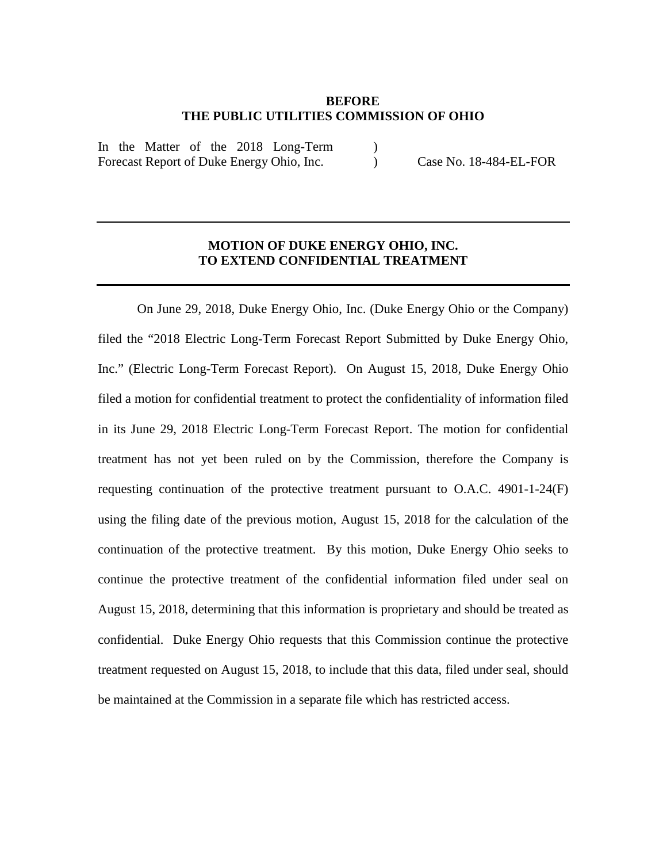## **BEFORE THE PUBLIC UTILITIES COMMISSION OF OHIO**

 $\lambda$ 

In the Matter of the 2018 Long-Term Forecast Report of Duke Energy Ohio, Inc.

) Case No. 18-484-EL-FOR

## **MOTION OF DUKE ENERGY OHIO, INC. TO EXTEND CONFIDENTIAL TREATMENT**

On June 29, 2018, Duke Energy Ohio, Inc. (Duke Energy Ohio or the Company) filed the "2018 Electric Long-Term Forecast Report Submitted by Duke Energy Ohio, Inc." (Electric Long-Term Forecast Report). On August 15, 2018, Duke Energy Ohio filed a motion for confidential treatment to protect the confidentiality of information filed in its June 29, 2018 Electric Long-Term Forecast Report. The motion for confidential treatment has not yet been ruled on by the Commission, therefore the Company is requesting continuation of the protective treatment pursuant to  $O.A.C.$  4901-1-24 $(F)$ using the filing date of the previous motion, August 15, 2018 for the calculation of the continuation of the protective treatment. By this motion, Duke Energy Ohio seeks to continue the protective treatment of the confidential information filed under seal on August 15, 2018, determining that this information is proprietary and should be treated as confidential. Duke Energy Ohio requests that this Commission continue the protective treatment requested on August 15, 2018, to include that this data, filed under seal, should be maintained at the Commission in a separate file which has restricted access.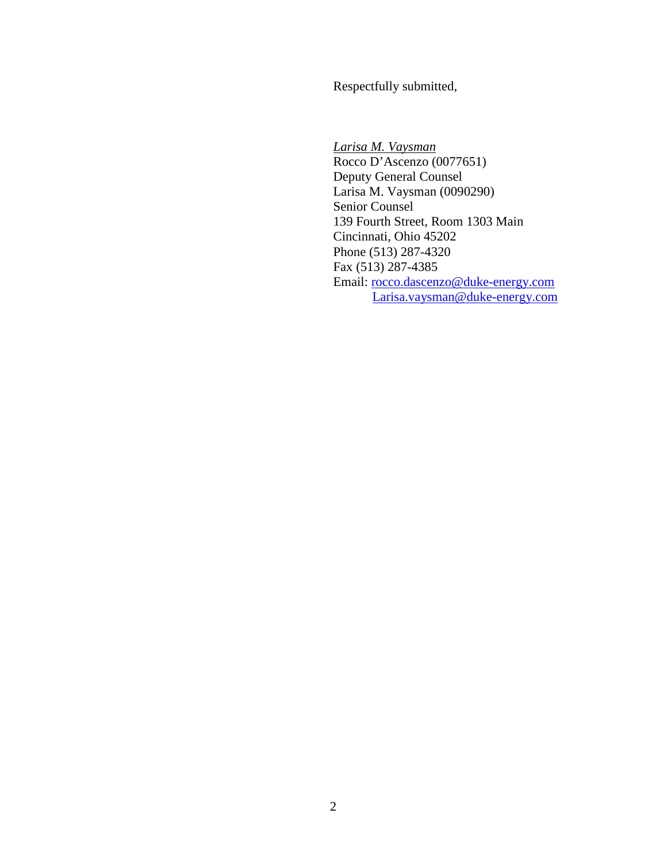Respectfully submitted,

*Larisa M. Vaysman* Rocco D'Ascenzo (0077651) Deputy General Counsel Larisa M. Vaysman (0090290) Senior Counsel 139 Fourth Street, Room 1303 Main Cincinnati, Ohio 45202 Phone (513) 287-4320 Fax (513) 287-4385 Email: [rocco.dascenzo@duke-energy.com](mailto:rocco.dascenzo@duke-energy.com) [Larisa.vaysman@duke-energy.com](mailto:Larisa.vaysman@duke-energy.com)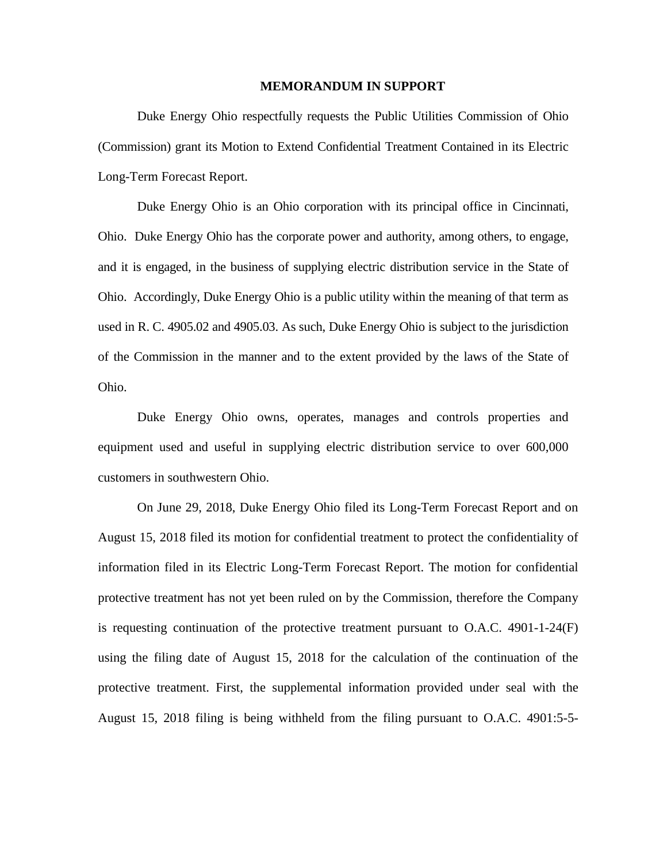## **MEMORANDUM IN SUPPORT**

Duke Energy Ohio respectfully requests the Public Utilities Commission of Ohio (Commission) grant its Motion to Extend Confidential Treatment Contained in its Electric Long-Term Forecast Report.

Duke Energy Ohio is an Ohio corporation with its principal office in Cincinnati, Ohio. Duke Energy Ohio has the corporate power and authority, among others, to engage, and it is engaged, in the business of supplying electric distribution service in the State of Ohio. Accordingly, Duke Energy Ohio is a public utility within the meaning of that term as used in R. C. 4905.02 and 4905.03. As such, Duke Energy Ohio is subject to the jurisdiction of the Commission in the manner and to the extent provided by the laws of the State of Ohio.

Duke Energy Ohio owns, operates, manages and controls properties and equipment used and useful in supplying electric distribution service to over 600,000 customers in southwestern Ohio.

On June 29, 2018, Duke Energy Ohio filed its Long-Term Forecast Report and on August 15, 2018 filed its motion for confidential treatment to protect the confidentiality of information filed in its Electric Long-Term Forecast Report. The motion for confidential protective treatment has not yet been ruled on by the Commission, therefore the Company is requesting continuation of the protective treatment pursuant to  $O.A.C.$  4901-1-24 $(F)$ using the filing date of August 15, 2018 for the calculation of the continuation of the protective treatment. First, the supplemental information provided under seal with the August 15, 2018 filing is being withheld from the filing pursuant to O.A.C. 4901:5-5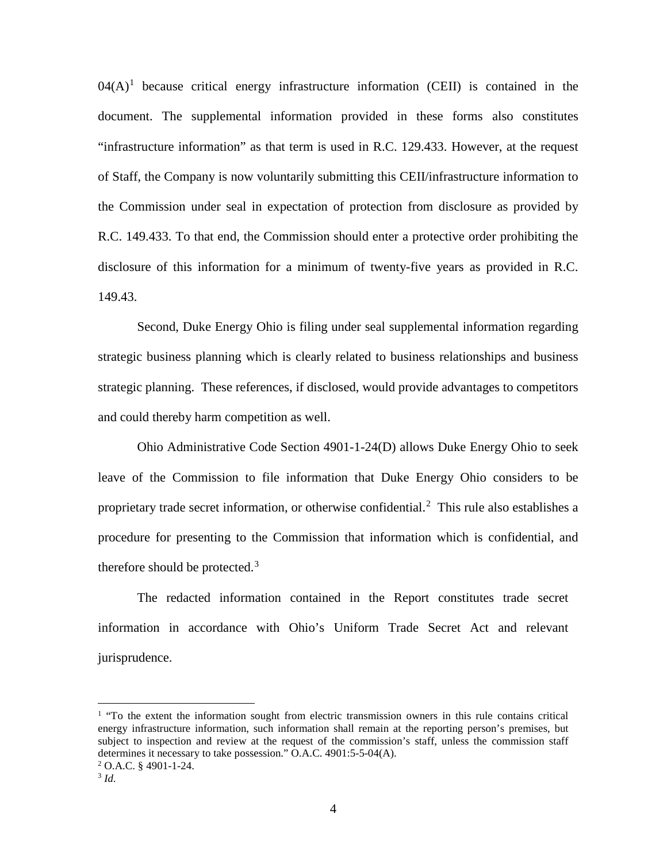$04(A)^1$  $04(A)^1$  because critical energy infrastructure information (CEII) is contained in the document. The supplemental information provided in these forms also constitutes "infrastructure information" as that term is used in R.C. 129.433. However, at the request of Staff, the Company is now voluntarily submitting this CEII/infrastructure information to the Commission under seal in expectation of protection from disclosure as provided by R.C. 149.433. To that end, the Commission should enter a protective order prohibiting the disclosure of this information for a minimum of twenty-five years as provided in R.C. 149.43.

Second, Duke Energy Ohio is filing under seal supplemental information regarding strategic business planning which is clearly related to business relationships and business strategic planning. These references, if disclosed, would provide advantages to competitors and could thereby harm competition as well.

Ohio Administrative Code Section 4901-1-24(D) allows Duke Energy Ohio to seek leave of the Commission to file information that Duke Energy Ohio considers to be proprietary trade secret information, or otherwise confidential.<sup>[2](#page-3-1)</sup> This rule also establishes a procedure for presenting to the Commission that information which is confidential, and therefore should be protected.<sup>[3](#page-3-0)</sup>

The redacted information contained in the Report constitutes trade secret information in accordance with Ohio's Uniform Trade Secret Act and relevant jurisprudence.

<span id="page-3-2"></span><sup>&</sup>lt;sup>1</sup> "To the extent the information sought from electric transmission owners in this rule contains critical energy infrastructure information, such information shall remain at the reporting person's premises, but subject to inspection and review at the request of the commission's staff, unless the commission staff determines it necessary to take possession." O.A.C. 4901:5-5-04(A).

<span id="page-3-1"></span> $2$  O.A.C. § 4901-1-24.

<span id="page-3-0"></span><sup>3</sup> *Id.*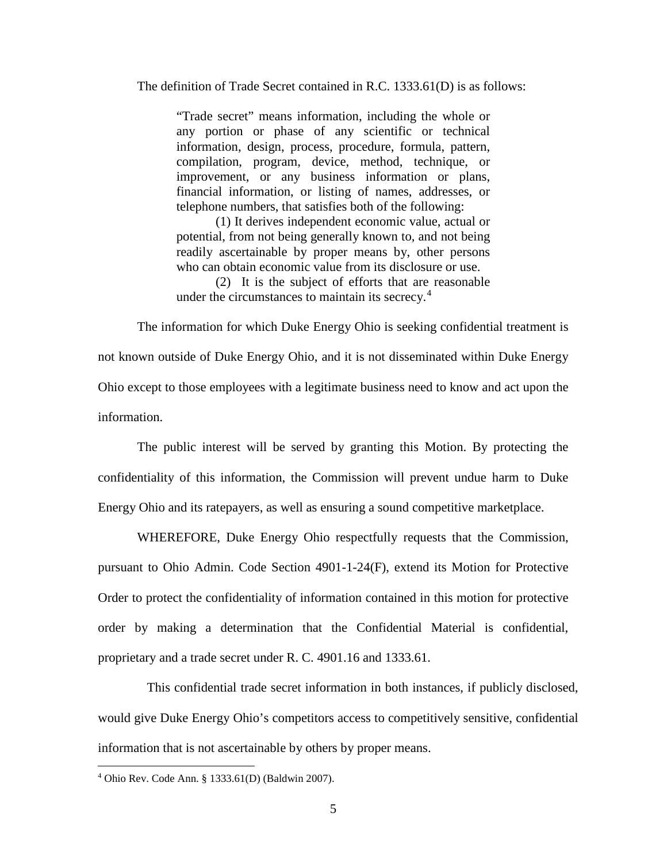The definition of Trade Secret contained in R.C. 1333.61(D) is as follows:

"Trade secret" means information, including the whole or any portion or phase of any scientific or technical information, design, process, procedure, formula, pattern, compilation, program, device, method, technique, or improvement, or any business information or plans, financial information, or listing of names, addresses, or telephone numbers, that satisfies both of the following:

(1) It derives independent economic value, actual or potential, from not being generally known to, and not being readily ascertainable by proper means by, other persons who can obtain economic value from its disclosure or use.

(2) It is the subject of efforts that are reasonable under the circumstances to maintain its secrecy.<sup>[4](#page-4-0)</sup>

The information for which Duke Energy Ohio is seeking confidential treatment is not known outside of Duke Energy Ohio, and it is not disseminated within Duke Energy Ohio except to those employees with a legitimate business need to know and act upon the information.

The public interest will be served by granting this Motion. By protecting the confidentiality of this information, the Commission will prevent undue harm to Duke Energy Ohio and its ratepayers, as well as ensuring a sound competitive marketplace.

WHEREFORE, Duke Energy Ohio respectfully requests that the Commission, pursuant to Ohio Admin. Code Section 4901-1-24(F), extend its Motion for Protective Order to protect the confidentiality of information contained in this motion for protective order by making a determination that the Confidential Material is confidential, proprietary and a trade secret under R. C. 4901.16 and 1333.61.

 This confidential trade secret information in both instances, if publicly disclosed, would give Duke Energy Ohio's competitors access to competitively sensitive, confidential information that is not ascertainable by others by proper means.

<span id="page-4-0"></span> <sup>4</sup> Ohio Rev. Code Ann. § 1333.61(D) (Baldwin 2007).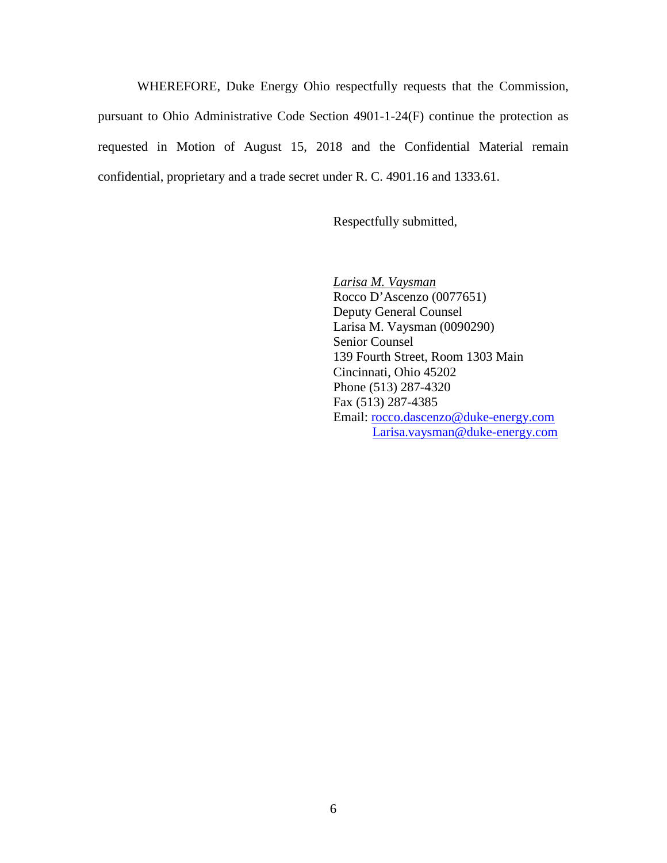WHEREFORE, Duke Energy Ohio respectfully requests that the Commission, pursuant to Ohio Administrative Code Section 4901-1-24(F) continue the protection as requested in Motion of August 15, 2018 and the Confidential Material remain confidential, proprietary and a trade secret under R. C. 4901.16 and 1333.61.

Respectfully submitted,

*Larisa M. Vaysman* Rocco D'Ascenzo (0077651) Deputy General Counsel Larisa M. Vaysman (0090290) Senior Counsel 139 Fourth Street, Room 1303 Main Cincinnati, Ohio 45202 Phone (513) 287-4320 Fax (513) 287-4385 Email: [rocco.dascenzo@duke-energy.com](mailto:rocco.dascenzo@duke-energy.com) [Larisa.vaysman@duke-energy.com](mailto:Larisa.vaysman@duke-energy.com)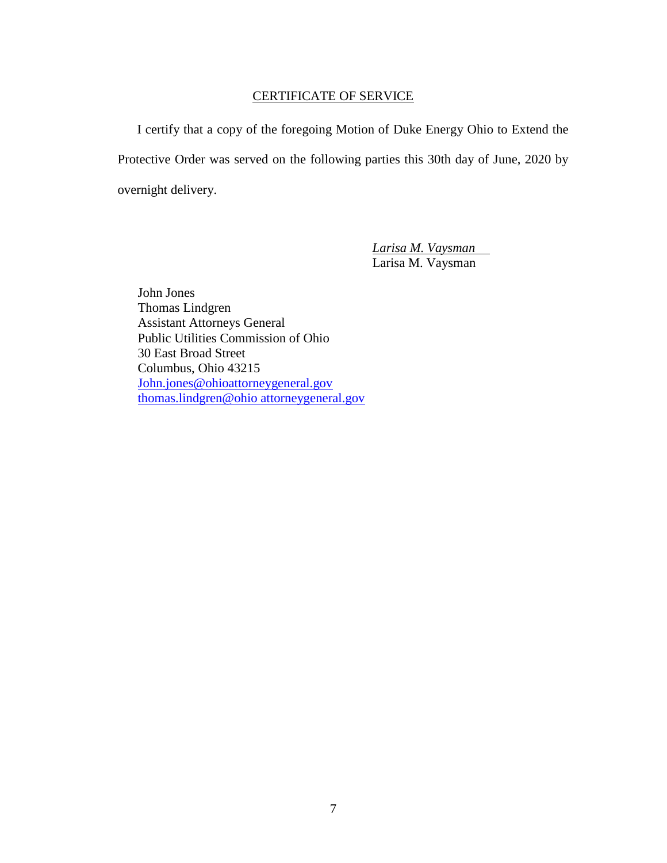## CERTIFICATE OF SERVICE

I certify that a copy of the foregoing Motion of Duke Energy Ohio to Extend the Protective Order was served on the following parties this 30th day of June, 2020 by overnight delivery.

> *Larisa M. Vaysman* Larisa M. Vaysman

John Jones Thomas Lindgren Assistant Attorneys General Public Utilities Commission of Ohio 30 East Broad Street Columbus, Ohio 43215 [John.jones@ohioattorneygeneral.gov](mailto:John.jones@ohioattorneygeneral.gov) [thomas.lindgren@ohio attorneygeneral.gov](mailto:thomas.lindgren@ohio%20attorneygeneral.gov)